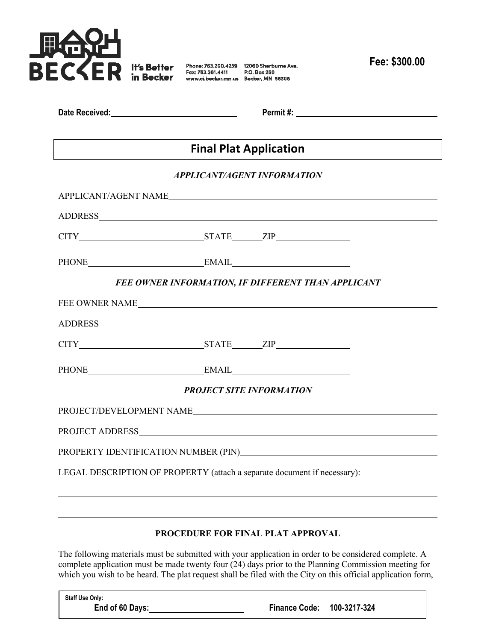

Phone: 763.200.4239 12060 Sherburne Ave.<br>Fax: 763.261.4411 P.O. Box 250 www.ci.becker.mn.us Becker, MN 55308

**Fee: \$300.00**

| Date Received: |  |  |
|----------------|--|--|
|                |  |  |

**Date Received: Permit #:** 

# **Final Plat Application**

### *APPLICANT/AGENT INFORMATION*

|  | $\begin{tabular}{c} 20\end{tabular} {\footnotesize PHONE} \begin{tabular}{c} \textbf{20.13} \end{tabular} \begin{tabular}{c} \multicolumn{2}{c}{} \multicolumn{2}{c}{} \multicolumn{2}{c}{} \multicolumn{2}{c}{} \multicolumn{2}{c}{} \multicolumn{2}{c}{} \multicolumn{2}{c}{} \multicolumn{2}{c}{} \multicolumn{2}{c}{} \multicolumn{2}{c}{} \multicolumn{2}{c}{} \multicolumn{2}{c}{} \multicolumn{2}{c}{} \multicolumn{2}{c}{} \multicolumn{2}{c}{} \multicolumn{2}{c}{} \multic$<br>FEE OWNER INFORMATION, IF DIFFERENT THAN APPLICANT<br>FEE OWNER NAME<br>CITY STATE ZIP<br>PHONE EMAIL EMAIL<br><b>PROJECT SITE INFORMATION</b><br>PROJECT/DEVELOPMENT NAME<br>LEGAL DESCRIPTION OF PROPERTY (attach a separate document if necessary): |
|--|-------------------------------------------------------------------------------------------------------------------------------------------------------------------------------------------------------------------------------------------------------------------------------------------------------------------------------------------------------------------------------------------------------------------------------------------------------------------------------------------------------------------------------------------------------------------------------------------------------------------------------------------------------------------------------------------------------------------------------------------------|

## **PROCEDURE FOR FINAL PLAT APPROVAL**

The following materials must be submitted with your application in order to be considered complete. A complete application must be made twenty four (24) days prior to the Planning Commission meeting for which you wish to be heard. The plat request shall be filed with the City on this official application form,

| <b>Staff Use Only:</b> |                            |  |
|------------------------|----------------------------|--|
| End of 60 Days:        | Finance Code: 100-3217-324 |  |